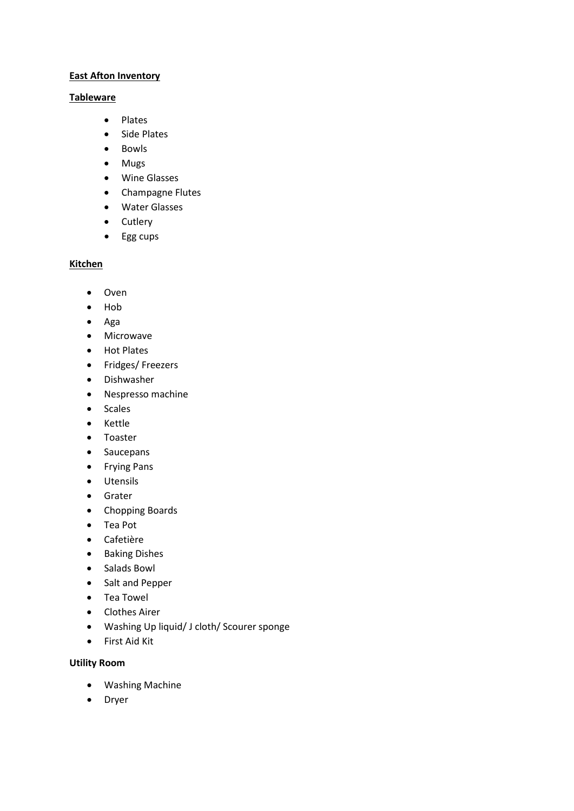### **East Afton Inventory**

### **Tableware**

- Plates
- Side Plates
- Bowls
- Mugs
- Wine Glasses
- Champagne Flutes
- Water Glasses
- Cutlery
- Egg cups

# **Kitchen**

- Oven
- Hob
- Aga
- Microwave
- Hot Plates
- Fridges/ Freezers
- Dishwasher
- Nespresso machine
- Scales
- Kettle
- Toaster
- Saucepans
- Frying Pans
- Utensils
- Grater
- Chopping Boards
- Tea Pot
- Cafetière
- Baking Dishes
- Salads Bowl
- Salt and Pepper
- Tea Towel
- Clothes Airer
- Washing Up liquid/ J cloth/ Scourer sponge
- First Aid Kit

## **Utility Room**

- Washing Machine
- Dryer